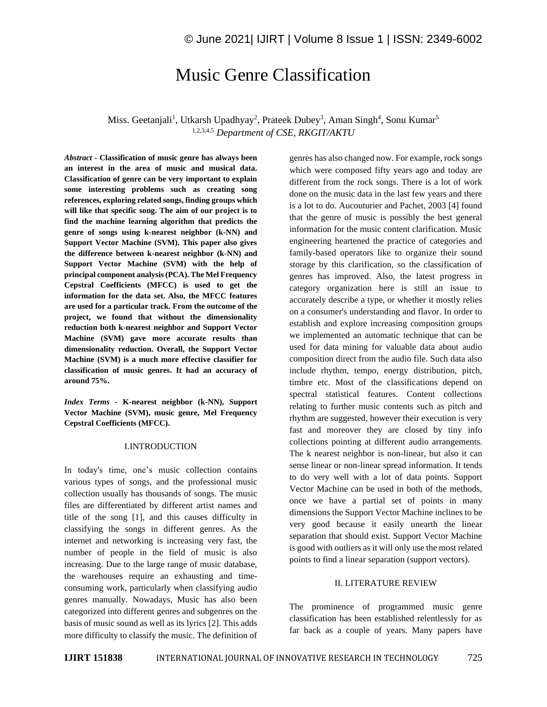# Music Genre Classification

Miss. Geetanjali<sup>1</sup>, Utkarsh Upadhyay<sup>2</sup>, Prateek Dubey<sup>3</sup>, Aman Singh<sup>4</sup>, Sonu Kumar<sup>5</sup> 1,2,3,4,5 *Department of CSE, RKGIT/AKTU*

*Abstract -* **Classification of music genre has always been an interest in the area of music and musical data. Classification of genre can be very important to explain some interesting problems such as creating song references, exploring related songs, finding groups which will like that specific song. The aim of our project is to find the machine learning algorithm that predicts the genre of songs using k-nearest neighbor (k-NN) and Support Vector Machine (SVM). This paper also gives the difference between k-nearest neighbor (k-NN) and Support Vector Machine (SVM) with the help of principal component analysis (PCA). The Mel Frequency Cepstral Coefficients (MFCC) is used to get the information for the data set. Also, the MFCC features are used for a particular track. From the outcome of the project, we found that without the dimensionality reduction both k-nearest neighbor and Support Vector Machine (SVM) gave more accurate results than dimensionality reduction. Overall, the Support Vector Machine (SVM) is a much more effective classifier for classification of music genres. It had an accuracy of around 75%.**

*Index Terms -* **K-nearest neighbor (k-NN), Support Vector Machine (SVM), music genre, Mel Frequency Cepstral Coefficients (MFCC).**

# I.INTRODUCTION

In today's time, one's music collection contains various types of songs, and the professional music collection usually has thousands of songs. The music files are differentiated by different artist names and title of the song [1], and this causes difficulty in classifying the songs in different genres. As the internet and networking is increasing very fast, the number of people in the field of music is also increasing. Due to the large range of music database, the warehouses require an exhausting and timeconsuming work, particularly when classifying audio genres manually. Nowadays, Music has also been categorized into different genres and subgenres on the basis of music sound as well as its lyrics [2]. This adds more difficulty to classify the music. The definition of genres has also changed now. For example, rock songs which were composed fifty years ago and today are different from the rock songs. There is a lot of work done on the music data in the last few years and there is a lot to do. Aucouturier and Pachet, 2003 [4] found that the genre of music is possibly the best general information for the music content clarification. Music engineering heartened the practice of categories and family-based operators like to organize their sound storage by this clarification, so the classification of genres has improved. Also, the latest progress in category organization here is still an issue to accurately describe a type, or whether it mostly relies on a consumer's understanding and flavor. In order to establish and explore increasing composition groups we implemented an automatic technique that can be used for data mining for valuable data about audio composition direct from the audio file. Such data also include rhythm, tempo, energy distribution, pitch, timbre etc. Most of the classifications depend on spectral statistical features. Content collections relating to further music contents such as pitch and rhythm are suggested, however their execution is very fast and moreover they are closed by tiny info collections pointing at different audio arrangements. The k nearest neighbor is non-linear, but also it can sense linear or non-linear spread information. It tends to do very well with a lot of data points. Support Vector Machine can be used in both of the methods, once we have a partial set of points in many dimensions the Support Vector Machine inclines to be very good because it easily unearth the linear separation that should exist. Support Vector Machine is good with outliers as it will only use the most related points to find a linear separation (support vectors).

#### II. LITERATURE REVIEW

The prominence of programmed music genre classification has been established relentlessly for as far back as a couple of years. Many papers have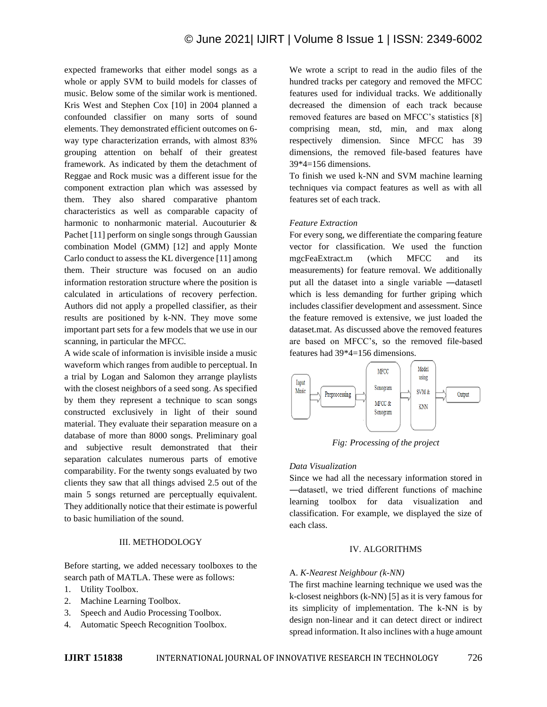expected frameworks that either model songs as a whole or apply SVM to build models for classes of music. Below some of the similar work is mentioned. Kris West and Stephen Cox [10] in 2004 planned a confounded classifier on many sorts of sound elements. They demonstrated efficient outcomes on 6 way type characterization errands, with almost 83% grouping attention on behalf of their greatest framework. As indicated by them the detachment of Reggae and Rock music was a different issue for the component extraction plan which was assessed by them. They also shared comparative phantom characteristics as well as comparable capacity of harmonic to nonharmonic material. Aucouturier & Pachet [11] perform on single songs through Gaussian combination Model (GMM) [12] and apply Monte Carlo conduct to assess the KL divergence [11] among them. Their structure was focused on an audio information restoration structure where the position is calculated in articulations of recovery perfection. Authors did not apply a propelled classifier, as their results are positioned by k-NN. They move some important part sets for a few models that we use in our scanning, in particular the MFCC.

A wide scale of information is invisible inside a music waveform which ranges from audible to perceptual. In a trial by Logan and Salomon they arrange playlists with the closest neighbors of a seed song. As specified by them they represent a technique to scan songs constructed exclusively in light of their sound material. They evaluate their separation measure on a database of more than 8000 songs. Preliminary goal and subjective result demonstrated that their separation calculates numerous parts of emotive comparability. For the twenty songs evaluated by two clients they saw that all things advised 2.5 out of the main 5 songs returned are perceptually equivalent. They additionally notice that their estimate is powerful to basic humiliation of the sound.

## III. METHODOLOGY

Before starting, we added necessary toolboxes to the search path of MATLA. These were as follows:

- 1. Utility Toolbox.
- 2. Machine Learning Toolbox.
- 3. Speech and Audio Processing Toolbox.
- 4. Automatic Speech Recognition Toolbox.

We wrote a script to read in the audio files of the hundred tracks per category and removed the MFCC features used for individual tracks. We additionally decreased the dimension of each track because removed features are based on MFCC's statistics [8] comprising mean, std, min, and max along respectively dimension. Since MFCC has 39 dimensions, the removed file-based features have 39\*4=156 dimensions.

To finish we used k-NN and SVM machine learning techniques via compact features as well as with all features set of each track.

# *Feature Extraction*

For every song, we differentiate the comparing feature vector for classification. We used the function mgcFeaExtract.m (which MFCC and its measurements) for feature removal. We additionally put all the dataset into a single variable —dataset which is less demanding for further griping which includes classifier development and assessment. Since the feature removed is extensive, we just loaded the dataset.mat. As discussed above the removed features are based on MFCC's, so the removed file-based features had 39\*4=156 dimensions.



*Fig: Processing of the project*

# *Data Visualization*

Since we had all the necessary information stored in ―dataset‖, we tried different functions of machine learning toolbox for data visualization and classification. For example, we displayed the size of each class.

#### IV. ALGORITHMS

#### A. *K-Nearest Neighbour (k-NN)*

The first machine learning technique we used was the k-closest neighbors (k-NN) [5] as it is very famous for its simplicity of implementation. The k-NN is by design non-linear and it can detect direct or indirect spread information. It also inclines with a huge amount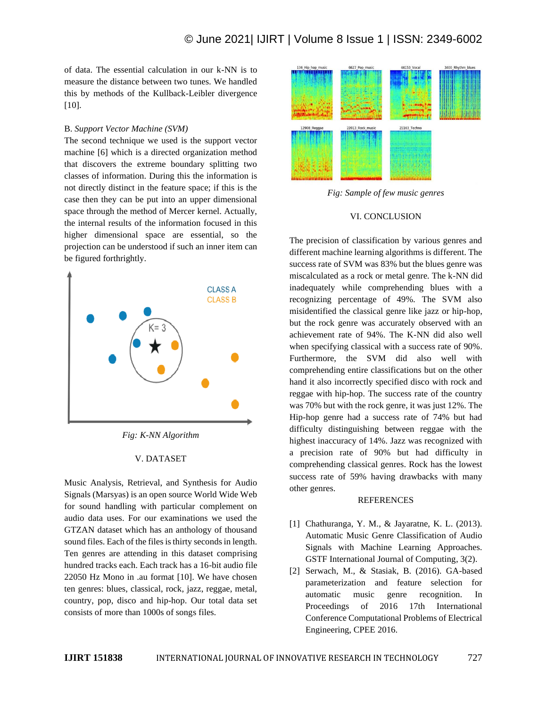of data. The essential calculation in our k-NN is to measure the distance between two tunes. We handled this by methods of the Kullback-Leibler divergence [10].

# B. *Support Vector Machine (SVM)*

The second technique we used is the support vector machine [6] which is a directed organization method that discovers the extreme boundary splitting two classes of information. During this the information is not directly distinct in the feature space; if this is the case then they can be put into an upper dimensional space through the method of Mercer kernel. Actually, the internal results of the information focused in this higher dimensional space are essential, so the projection can be understood if such an inner item can be figured forthrightly.



*Fig: K-NN Algorithm*

#### V. DATASET

Music Analysis, Retrieval, and Synthesis for Audio Signals (Marsyas) is an open source World Wide Web for sound handling with particular complement on audio data uses. For our examinations we used the GTZAN dataset which has an anthology of thousand sound files. Each of the files is thirty seconds in length. Ten genres are attending in this dataset comprising hundred tracks each. Each track has a 16-bit audio file 22050 Hz Mono in .au format [10]. We have chosen ten genres: blues, classical, rock, jazz, reggae, metal, country, pop, disco and hip-hop. Our total data set consists of more than 1000s of songs files.



*Fig: Sample of few music genres*

#### VI. CONCLUSION

The precision of classification by various genres and different machine learning algorithms is different. The success rate of SVM was 83% but the blues genre was miscalculated as a rock or metal genre. The k-NN did inadequately while comprehending blues with a recognizing percentage of 49%. The SVM also misidentified the classical genre like jazz or hip-hop, but the rock genre was accurately observed with an achievement rate of 94%. The K-NN did also well when specifying classical with a success rate of 90%. Furthermore, the SVM did also well with comprehending entire classifications but on the other hand it also incorrectly specified disco with rock and reggae with hip-hop. The success rate of the country was 70% but with the rock genre, it was just 12%. The Hip-hop genre had a success rate of 74% but had difficulty distinguishing between reggae with the highest inaccuracy of 14%. Jazz was recognized with a precision rate of 90% but had difficulty in comprehending classical genres. Rock has the lowest success rate of 59% having drawbacks with many other genres.

# **REFERENCES**

- [1] Chathuranga, Y. M., & Jayaratne, K. L. (2013). Automatic Music Genre Classification of Audio Signals with Machine Learning Approaches. GSTF International Journal of Computing, 3(2).
- [2] Serwach, M., & Stasiak, B. (2016). GA-based parameterization and feature selection for automatic music genre recognition. In Proceedings of 2016 17th International Conference Computational Problems of Electrical Engineering, CPEE 2016.